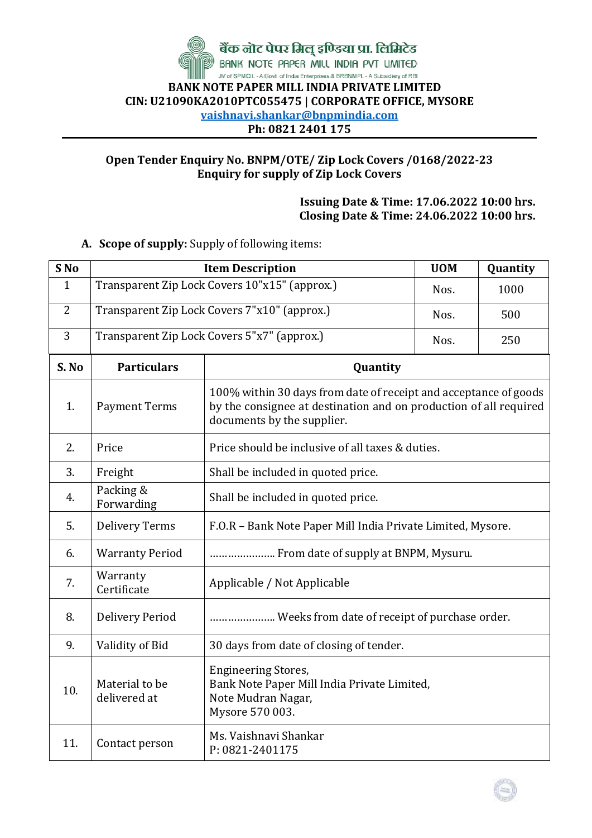

## **Open Tender Enquiry No. BNPM/OTE/ Zip Lock Covers /0168/2022-23 Enquiry for supply of Zip Lock Covers**

**Issuing Date & Time: 17.06.2022 10:00 hrs. Closing Date & Time: 24.06.2022 10:00 hrs.**

## **A. Scope of supply:** Supply of following items:

| S No           | <b>Item Description</b>                       | <b>UOM</b>                                                                                                                                                          | Quantity |  |  |  |  |
|----------------|-----------------------------------------------|---------------------------------------------------------------------------------------------------------------------------------------------------------------------|----------|--|--|--|--|
| $\mathbf{1}$   | Transparent Zip Lock Covers 10"x15" (approx.) | Nos.                                                                                                                                                                | 1000     |  |  |  |  |
| $\overline{2}$ | Transparent Zip Lock Covers 7"x10" (approx.)  | Nos.                                                                                                                                                                | 500      |  |  |  |  |
| 3              | Transparent Zip Lock Covers 5"x7" (approx.)   | Nos.                                                                                                                                                                | 250      |  |  |  |  |
| S. No          | <b>Particulars</b>                            | Quantity                                                                                                                                                            |          |  |  |  |  |
| 1.             | <b>Payment Terms</b>                          | 100% within 30 days from date of receipt and acceptance of goods<br>by the consignee at destination and on production of all required<br>documents by the supplier. |          |  |  |  |  |
| 2.             | Price                                         | Price should be inclusive of all taxes & duties.                                                                                                                    |          |  |  |  |  |
| 3.             | Freight                                       | Shall be included in quoted price.                                                                                                                                  |          |  |  |  |  |
| 4.             | Packing &<br>Forwarding                       | Shall be included in quoted price.                                                                                                                                  |          |  |  |  |  |
| 5.             | <b>Delivery Terms</b>                         | F.O.R - Bank Note Paper Mill India Private Limited, Mysore.                                                                                                         |          |  |  |  |  |
| 6.             | <b>Warranty Period</b>                        | From date of supply at BNPM, Mysuru.                                                                                                                                |          |  |  |  |  |
| 7.             | Warranty<br>Certificate                       | Applicable / Not Applicable                                                                                                                                         |          |  |  |  |  |
| 8.             | <b>Delivery Period</b>                        | Weeks from date of receipt of purchase order.                                                                                                                       |          |  |  |  |  |
| 9.             | Validity of Bid                               | 30 days from date of closing of tender.                                                                                                                             |          |  |  |  |  |
| 10.            | Material to be<br>delivered at                | <b>Engineering Stores,</b><br>Bank Note Paper Mill India Private Limited,<br>Note Mudran Nagar,<br>Mysore 570 003.                                                  |          |  |  |  |  |
| 11.            | Contact person                                | Ms. Vaishnavi Shankar<br>P: 0821-2401175                                                                                                                            |          |  |  |  |  |

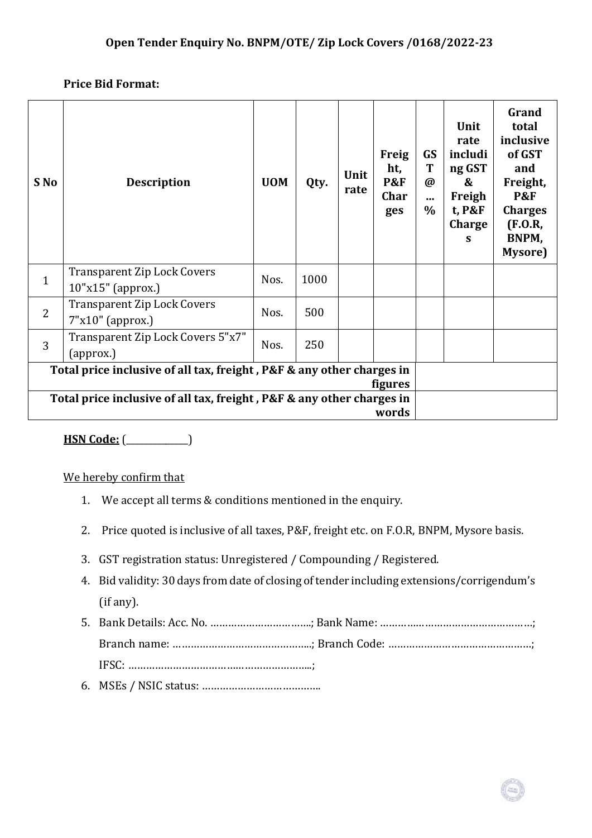## **Price Bid Format:**

| S No                                                                                    | <b>Description</b>                                        | <b>UOM</b> | Qty. | Unit<br>rate | <b>Freig</b><br>ht,<br><b>P&amp;F</b><br>Char<br>ges | <b>GS</b><br>T<br>$\boldsymbol{\omega}$<br><br>$\%$ | Unit<br>rate<br>includi<br>ng GST<br>&<br>Freigh<br>t, P&F<br>Charge<br>S | Grand<br>total<br>inclusive<br>of GST<br>and<br>Freight,<br><b>P&amp;F</b><br><b>Charges</b><br>(F.O.R,<br>BNPM,<br>Mysore) |
|-----------------------------------------------------------------------------------------|-----------------------------------------------------------|------------|------|--------------|------------------------------------------------------|-----------------------------------------------------|---------------------------------------------------------------------------|-----------------------------------------------------------------------------------------------------------------------------|
| $\mathbf{1}$                                                                            | <b>Transparent Zip Lock Covers</b><br>$10"x15"$ (approx.) | Nos.       | 1000 |              |                                                      |                                                     |                                                                           |                                                                                                                             |
| $\overline{2}$                                                                          | <b>Transparent Zip Lock Covers</b><br>$7"x10"$ (approx.)  | Nos.       | 500  |              |                                                      |                                                     |                                                                           |                                                                                                                             |
| 3                                                                                       | Transparent Zip Lock Covers 5"x7"<br>(approx.)            | Nos.       | 250  |              |                                                      |                                                     |                                                                           |                                                                                                                             |
| Total price inclusive of all tax, freight, P&F & any other charges in                   |                                                           |            |      |              |                                                      |                                                     |                                                                           |                                                                                                                             |
| <i>figures</i><br>Total price inclusive of all tax, freight, P&F & any other charges in |                                                           |            |      |              |                                                      |                                                     |                                                                           |                                                                                                                             |
| words                                                                                   |                                                           |            |      |              |                                                      |                                                     |                                                                           |                                                                                                                             |

**HSN Code:** (\_\_\_\_\_\_\_\_\_\_\_\_\_\_)

We hereby confirm that

- 1. We accept all terms & conditions mentioned in the enquiry.
- 2. Price quoted is inclusive of all taxes, P&F, freight etc. on F.O.R, BNPM, Mysore basis.
- 3. GST registration status: Unregistered / Compounding / Registered.
- 4. Bid validity: 30 days from date of closing of tender including extensions/corrigendum's (if any).
- 5. Bank Details: Acc. No. …………………………….; Bank Name: ……………………………………………; Branch name: ………………………………………..; Branch Code: …………………………………………; IFSC: ……………………………………………………..;
- 6. MSEs / NSIC status: ………………………………….